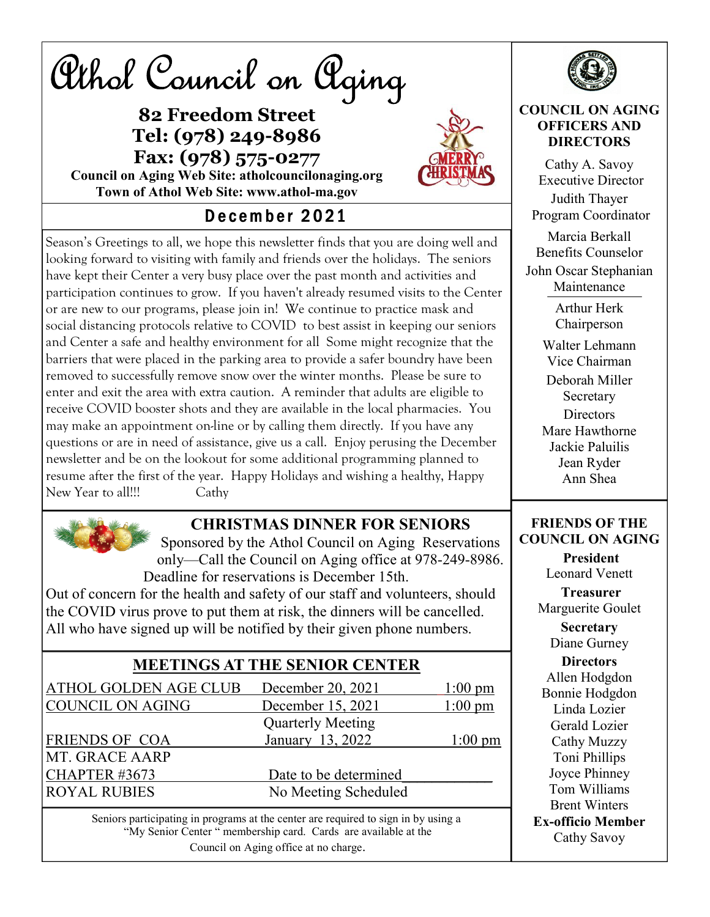Athol Council on Aging

### 82 Freedom Street Tel: (978) 249-8986 Fax: (978) 575-0277



Council on Aging Web Site: atholcouncilonaging.org Town of Athol Web Site: www.athol-ma.gov

# December 2021

Season's Greetings to all, we hope this newsletter finds that you are doing well and looking forward to visiting with family and friends over the holidays. The seniors have kept their Center a very busy place over the past month and activities and participation continues to grow. If you haven't already resumed visits to the Center or are new to our programs, please join in! We continue to practice mask and social distancing protocols relative to COVID to best assist in keeping our seniors and Center a safe and healthy environment for all Some might recognize that the barriers that were placed in the parking area to provide a safer boundry have been removed to successfully remove snow over the winter months. Please be sure to enter and exit the area with extra caution. A reminder that adults are eligible to receive COVID booster shots and they are available in the local pharmacies. You may make an appointment on-line or by calling them directly. If you have any questions or are in need of assistance, give us a call. Enjoy perusing the December newsletter and be on the lookout for some additional programming planned to resume after the first of the year. Happy Holidays and wishing a healthy, Happy New Year to all!!! Cathy



### CHRISTMAS DINNER FOR SENIORS

Sponsored by the Athol Council on Aging Reservations only—Call the Council on Aging office at 978-249-8986. Deadline for reservations is December 15th.

Out of concern for the health and safety of our staff and volunteers, should the COVID virus prove to put them at risk, the dinners will be cancelled. All who have signed up will be notified by their given phone numbers.

| <b>MEETINGS AT THE SENIOR CENTER</b> |                          |                   |  |  |
|--------------------------------------|--------------------------|-------------------|--|--|
| ATHOL GOLDEN AGE CLUB                | December 20, 2021        | $1:00 \text{ pm}$ |  |  |
| <b>COUNCIL ON AGING</b>              | December 15, 2021        | $1:00$ pm         |  |  |
|                                      | <b>Quarterly Meeting</b> |                   |  |  |
| FRIENDS OF COA                       | January 13, 2022         | $1:00 \text{ pm}$ |  |  |
| MT. GRACE AARP                       |                          |                   |  |  |
| <b>CHAPTER #3673</b>                 | Date to be determined    |                   |  |  |
| <b>ROYAL RUBIES</b>                  | No Meeting Scheduled     |                   |  |  |
|                                      |                          |                   |  |  |

Seniors participating in programs at the center are required to sign in by using a "My Senior Center " membership card. Cards are available at the Council on Aging office at no charge.



#### COUNCIL ON AGING OFFICERS AND **DIRECTORS**

Cathy A. Savoy Executive Director Judith Thayer Program Coordinator Marcia Berkall Benefits Counselor John Oscar Stephanian Maintenance Arthur Herk Chairperson Walter Lehmann Vice Chairman Deborah Miller Secretary **Directors** Mare Hawthorne Jackie Paluilis Jean Ryder Ann Shea FRIENDS OF THE COUNCIL ON AGING President Leonard Venett Treasurer Marguerite Goulet **Secretary** Diane Gurney **Directors** Allen Hodgdon Bonnie Hodgdon Linda Lozier Gerald Lozier Cathy Muzzy Toni Phillips Joyce Phinney Tom Williams

Brent Winters Ex-officio Member Cathy Savoy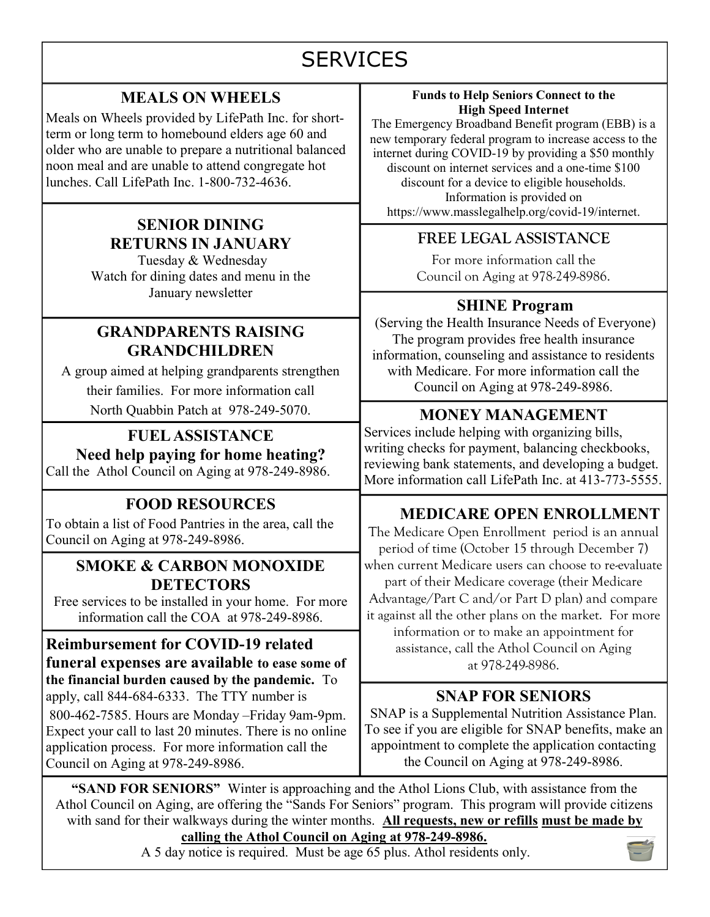# **SERVICES**

### MEALS ON WHEELS

Meals on Wheels provided by LifePath Inc. for shortterm or long term to homebound elders age 60 and older who are unable to prepare a nutritional balanced noon meal and are unable to attend congregate hot lunches. Call LifePath Inc. 1-800-732-4636.

#### SENIOR DINING RETURNS IN JANUARY

Tuesday & Wednesday Watch for dining dates and menu in the January newsletter

#### GRANDPARENTS RAISING GRANDCHILDREN

A group aimed at helping grandparents strengthen their families. For more information call North Quabbin Patch at 978-249-5070.

FUEL ASSISTANCE Need help paying for home heating? Call the Athol Council on Aging at 978-249-8986.

## FOOD RESOURCES

To obtain a list of Food Pantries in the area, call the Council on Aging at 978-249-8986.

#### SMOKE & CARBON MONOXIDE DETECTORS

Free services to be installed in your home. For more information call the COA at 978-249-8986.

Reimbursement for COVID-19 related funeral expenses are available to ease some of the financial burden caused by the pandemic. To apply, call 844-684-6333. The TTY number is 800-462-7585. Hours are Monday –Friday 9am-9pm. Expect your call to last 20 minutes. There is no online application process. For more information call the Council on Aging at 978-249-8986.

#### Funds to Help Seniors Connect to the High Speed Internet

The Emergency Broadband Benefit program (EBB) is a new temporary federal program to increase access to the internet during COVID-19 by providing a \$50 monthly discount on internet services and a one-time \$100 discount for a device to eligible households. Information is provided on https://www.masslegalhelp.org/covid-19/internet.

#### FREE LEGAL ASSISTANCE

For more information call the Council on Aging at 978-249-8986.

#### SHINE Program

(Serving the Health Insurance Needs of Everyone) The program provides free health insurance information, counseling and assistance to residents with Medicare. For more information call the Council on Aging at 978-249-8986.

### MONEY MANAGEMENT

Services include helping with organizing bills, writing checks for payment, balancing checkbooks, reviewing bank statements, and developing a budget. More information call LifePath Inc. at 413-773-5555.

## MEDICARE OPEN ENROLLMENT

The Medicare Open Enrollment period is an annual period of time (October 15 through December 7) when current Medicare users can choose to re-evaluate part of their Medicare coverage (their Medicare Advantage/Part C and/or Part D plan) and compare it against all the other plans on the market. For more information or to make an appointment for assistance, call the Athol Council on Aging

at 978-249-8986.

### SNAP FOR SENIORS

SNAP is a Supplemental Nutrition Assistance Plan. To see if you are eligible for SNAP benefits, make an appointment to complete the application contacting the Council on Aging at 978-249-8986.

"SAND FOR SENIORS" Winter is approaching and the Athol Lions Club, with assistance from the Athol Council on Aging, are offering the "Sands For Seniors" program. This program will provide citizens with sand for their walkways during the winter months. All requests, new or refills must be made by calling the Athol Council on Aging at 978-249-8986.

A 5 day notice is required. Must be age 65 plus. Athol residents only.

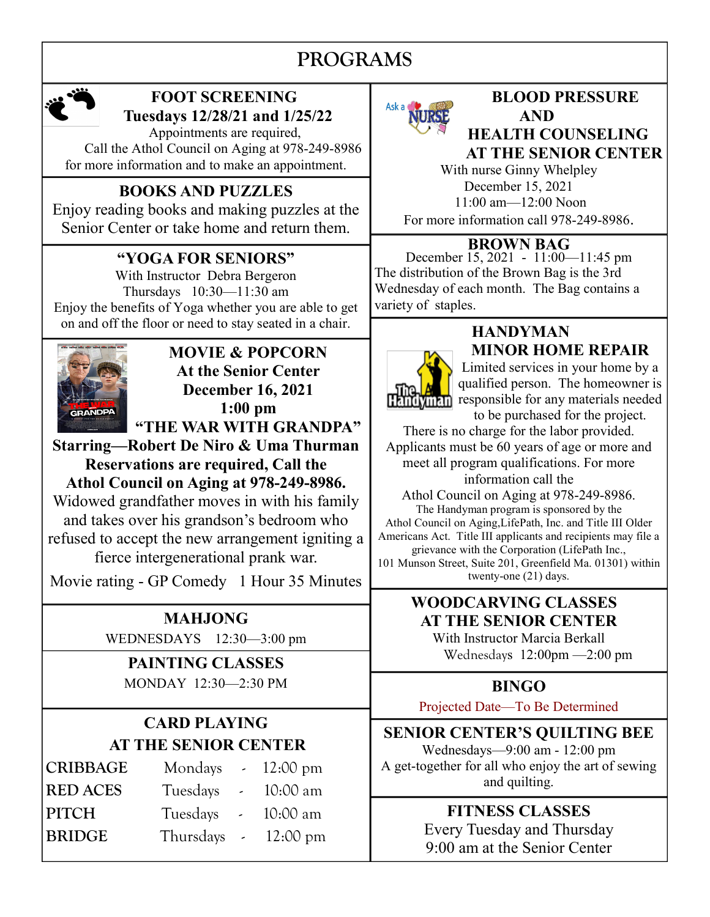# PROGRAMS



## FOOT SCREENING Tuesdays 12/28/21 and 1/25/22

 Appointments are required, Call the Athol Council on Aging at 978-249-8986 for more information and to make an appointment.

## BOOKS AND PUZZLES

Enjoy reading books and making puzzles at the Senior Center or take home and return them.

## "YOGA FOR SENIORS"

With Instructor Debra Bergeron Thursdays 10:30—11:30 am Enjoy the benefits of Yoga whether you are able to get on and off the floor or need to stay seated in a chair.



MOVIE & POPCORN At the Senior Center December 16, 2021 1:00 pm "THE WAR WITH GRANDPA"

Starring—Robert De Niro & Uma Thurman Reservations are required, Call the Athol Council on Aging at 978-249-8986. Widowed grandfather moves in with his family and takes over his grandson's bedroom who refused to accept the new arrangement igniting a

fierce intergenerational prank war.

Movie rating - GP Comedy 1 Hour 35 Minutes

MAHJONG WEDNESDAYS 12:30—3:00 pm

# PAINTING CLASSES

MONDAY 12:30—2:30 PM

## CARD PLAYING AT THE SENIOR CENTER

|  | 10:00 am                                                                                              |
|--|-------------------------------------------------------------------------------------------------------|
|  |                                                                                                       |
|  | Mondays $\sim 12:00 \text{ pm}$<br>Tuesdays - 10:00 am<br>Tuesdays -<br>Thursdays $-12:00 \text{ pm}$ |



#### BLOOD PRESSURE AND HEALTH COUNSELING AT THE SENIOR CENTER

With nurse Ginny Whelpley December 15, 2021 11:00 am—12:00 Noon For more information call 978-249-8986.

#### BROWN BAG

December 15, 2021 - 11:00—11:45 pm The distribution of the Brown Bag is the 3rd Wednesday of each month. The Bag contains a variety of staples.

**HANDYMAN** MINOR HOME REPAIR

Limited services in your home by a qualified person. The homeowner is **THE THE RESPONSIBLE FOR A REAL PROPERTY** responsible for any materials needed to be purchased for the project.

There is no charge for the labor provided. Applicants must be 60 years of age or more and meet all program qualifications. For more information call the

Athol Council on Aging at 978-249-8986. The Handyman program is sponsored by the Athol Council on Aging,LifePath, Inc. and Title III Older Americans Act. Title III applicants and recipients may file a grievance with the Corporation (LifePath Inc., 101 Munson Street, Suite 201, Greenfield Ma. 01301) within twenty-one (21) days.

#### WOODCARVING CLASSES AT THE SENIOR CENTER

With Instructor Marcia Berkall Wednesdays 12:00pm —2:00 pm

## BINGO

Projected Date—To Be Determined

SENIOR CENTER'S QUILTING BEE Wednesdays—9:00 am - 12:00 pm A get-together for all who enjoy the art of sewing and quilting.

# FITNESS CLASSES

Every Tuesday and Thursday 9:00 am at the Senior Center